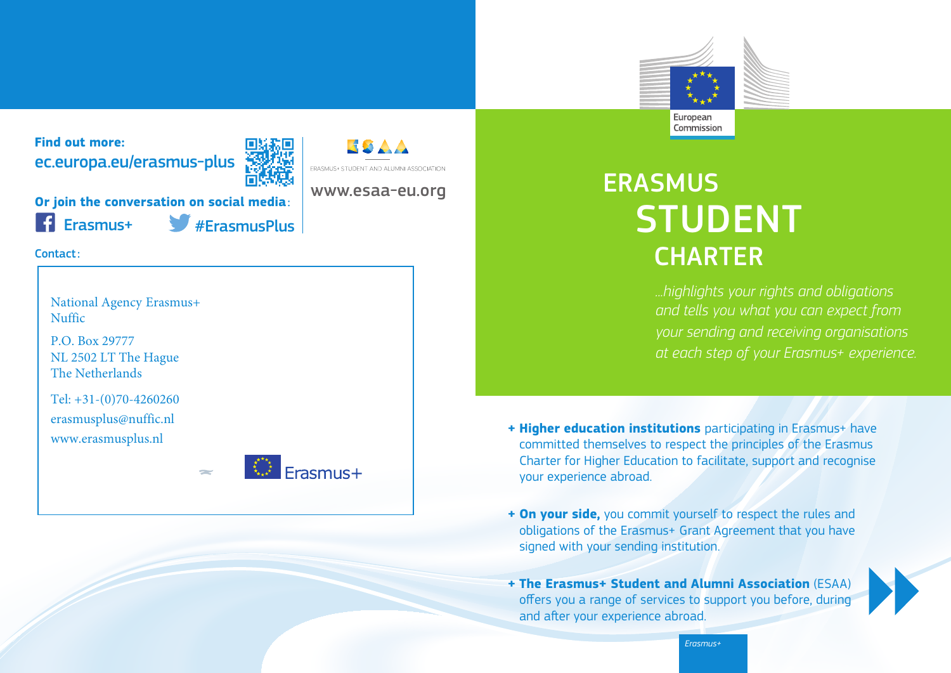

**Find out more:** ec.europa.eu/erasmus-plus



www.esaa-eu.org

**ERASMUS+ STUDENT AND ALUMNI ASSOCIATION** 

**Or join the conversation on social media**:

Erasmus+ #ErasmusPlus

Contact:

National Agency Erasmus+ Nuffic

P.O. Box 29777 NL 2502 LT The Hague The Netherlands

Tel: +31-(0)70-4260260 erasmusplus@nuffic.nl www.erasmusplus.nl



# **ERASMUS** STUDENT **CHARTER**

*...highlights your rights and obligations and tells you what you can expect from your sending and receiving organisations at each step of your Erasmus+ experience.*

**+ Higher education institutions** participating in Erasmus+ have committed themselves to respect the principles of the Erasmus Charter for Higher Education to facilitate, support and recognise your experience abroad.

- **+ On your side,** you commit yourself to respect the rules and obligations of the Erasmus+ Grant Agreement that you have signed with your sending institution.
- **+ The Erasmus+ Student and Alumni Association** (ESAA) offers you a range of services to support you before, during and after your experience abroad.